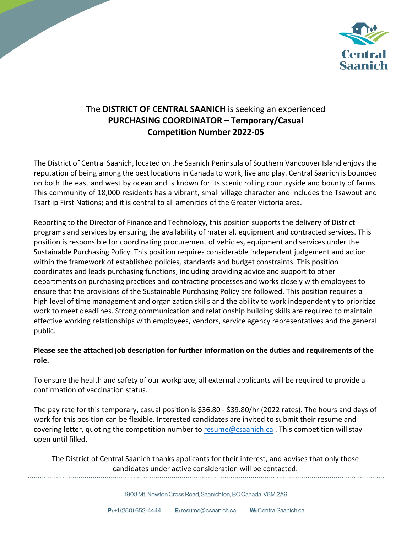

## The **DISTRICT OF CENTRAL SAANICH** is seeking an experienced **PURCHASING COORDINATOR – Temporary/Casual Competition Number 2022-05**

The District of Central Saanich, located on the Saanich Peninsula of Southern Vancouver Island enjoys the reputation of being among the best locations in Canada to work, live and play. Central Saanich is bounded on both the east and west by ocean and is known for its scenic rolling countryside and bounty of farms. This community of 18,000 residents has a vibrant, small village character and includes the Tsawout and Tsartlip First Nations; and it is central to all amenities of the Greater Victoria area.

Reporting to the Director of Finance and Technology, this position supports the delivery of District programs and services by ensuring the availability of material, equipment and contracted services. This position is responsible for coordinating procurement of vehicles, equipment and services under the Sustainable Purchasing Policy. This position requires considerable independent judgement and action within the framework of established policies, standards and budget constraints. This position coordinates and leads purchasing functions, including providing advice and support to other departments on purchasing practices and contracting processes and works closely with employees to ensure that the provisions of the Sustainable Purchasing Policy are followed. This position requires a high level of time management and organization skills and the ability to work independently to prioritize work to meet deadlines. Strong communication and relationship building skills are required to maintain effective working relationships with employees, vendors, service agency representatives and the general public.

### **Please see the attached job description for further information on the duties and requirements of the role.**

To ensure the health and safety of our workplace, all external applicants will be required to provide a confirmation of vaccination status.

The pay rate for this temporary, casual position is \$36.80 - \$39.80/hr (2022 rates). The hours and days of work for this position can be flexible. Interested candidates are invited to submit their resume and covering letter, quoting the competition number to [resume@csaanich.ca](mailto:resume@csaanich.ca). This competition will stay open until filled.

The District of Central Saanich thanks applicants for their interest, and advises that only those candidates under active consideration will be contacted.

1903 Mt. Newton Cross Road, Saanichton, BC Canada V8M 2A9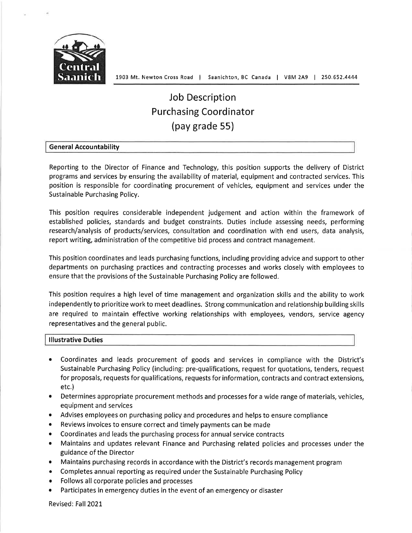

# **Job Description Purchasing Coordinator** (pay grade 55)

#### **General Accountability**

Reporting to the Director of Finance and Technology, this position supports the delivery of District programs and services by ensuring the availability of material, equipment and contracted services. This position is responsible for coordinating procurement of vehicles, equipment and services under the Sustainable Purchasing Policy.

This position requires considerable independent judgement and action within the framework of established policies, standards and budget constraints. Duties include assessing needs, performing research/analysis of products/services, consultation and coordination with end users, data analysis, report writing, administration of the competitive bid process and contract management.

This position coordinates and leads purchasing functions, including providing advice and support to other departments on purchasing practices and contracting processes and works closely with employees to ensure that the provisions of the Sustainable Purchasing Policy are followed.

This position requires a high level of time management and organization skills and the ability to work independently to prioritize work to meet deadlines. Strong communication and relationship building skills are required to maintain effective working relationships with employees, vendors, service agency representatives and the general public.

#### **Illustrative Duties**

- Coordinates and leads procurement of goods and services in compliance with the District's Sustainable Purchasing Policy (including: pre-qualifications, request for quotations, tenders, request for proposals, requests for qualifications, requests for information, contracts and contract extensions,  $etc.$ )
- Determines appropriate procurement methods and processes for a wide range of materials, vehicles, equipment and services
- Advises employees on purchasing policy and procedures and helps to ensure compliance
- $\bullet$ Reviews invoices to ensure correct and timely payments can be made
- Coordinates and leads the purchasing process for annual service contracts  $\bullet$
- Maintains and updates relevant Finance and Purchasing related policies and processes under the  $\bullet$ guidance of the Director
- Maintains purchasing records in accordance with the District's records management program
- Completes annual reporting as required under the Sustainable Purchasing Policy
- Follows all corporate policies and processes  $\bullet$
- Participates in emergency duties in the event of an emergency or disaster

Revised: Fall 2021